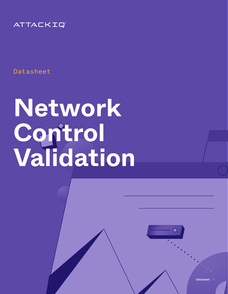

Datasheet

# **Network Control Validation**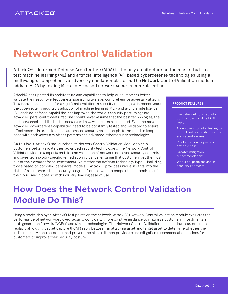## **Network Control Validation**

AttackIQ®'s Informed Defense Architecture (AIDA) is the only architecture on the market built to test machine learning (ML) and artificial intelligence (AI)-based cyberdefense technologies using a multi-stage, comprehensive adversary emulation platform. The Network Control Validation module adds to AIDA by testing ML- and AI-based network security controls in-line.

AttackIQ has updated its architecture and capabilities to help our customers better validate their security effectiveness against multi-stage, comprehensive adversary attacks. This innovation accounts for a significant evolution in security technologies. In recent years, the cybersecurity industry's adoption of machine learning (ML)- and artificial intelligence (AI)-enabled defense capabilities has improved the world's security posture against advanced persistent threats. Yet one should never assume that the best technologies, the best personnel, and the best processes will always perform as intended. Even the most advanced cyberdefense capabilities need to be constantly tested and validated to ensure effectiveness. In order to do so, automated security validation platforms need to keep pace with both adversary attack patterns and advanced cybersecurity technologies.

On this basis, AttackIQ has launched its Network Control Validation Module to help customers better validate their advanced security technologies. The Network Control Validation Module supports end-to-end validation of network-deployed security controls and gives technology-specific remediation guidance, ensuring that customers get the most out of their cyberdefense investments. No matter the defense technology type — including those based on complex, behavioral models — AttackIQ provides unique insights into the state of a customer's total security program from network to endpoint, on-premises or in the cloud. And it does so with industry-leading ease of use.

#### PRODUCT FEATURES

- Evaluates network security controls using in-line PCAP reply.
- Allows users to tailor testing to critical and non-critical assets, and security zones.
- Produces clear reports on effectiveness.
- Creates mitigation recommendations.
- Works on-premises and in SaaS environments.

## How Does the Network Control Validation Module Do This?

Using already-deployed AttackIQ test points on the network, AttackIQ's Network Control Validation module evaluates the performance of network-deployed security controls with prescriptive guidance to maximize customers' investments in next-generation firewalls (NGFW) and similar technologies. The Network Control Validation module allows customers to replay traffic using packet capture (PCAP) reply between an attacking asset and target asset to determine whether the in-line security controls detect and prevent the attack. It then provides clear mitigation recommendation options for customers to improve their security posture.